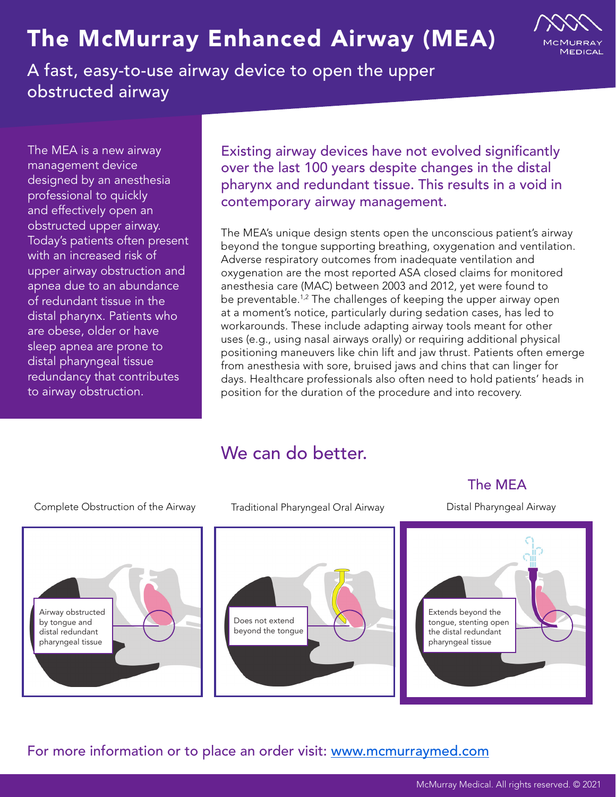# The McMurray Enhanced Airway (MEA)



A fast, easy-to-use airway device to open the upper obstructed airway

The MEA is a new airway management device designed by an anesthesia professional to quickly and effectively open an obstructed upper airway. Today's patients often present with an increased risk of upper airway obstruction and apnea due to an abundance of redundant tissue in the distal pharynx. Patients who are obese, older or have sleep apnea are prone to distal pharyngeal tissue redundancy that contributes to airway obstruction.

Existing airway devices have not evolved significantly over the last 100 years despite changes in the distal pharynx and redundant tissue. This results in a void in contemporary airway management.

The MEA's unique design stents open the unconscious patient's airway beyond the tongue supporting breathing, oxygenation and ventilation. Adverse respiratory outcomes from inadequate ventilation and oxygenation are the most reported ASA closed claims for monitored anesthesia care (MAC) between 2003 and 2012, yet were found to be preventable.<sup>1,2</sup> The challenges of keeping the upper airway open at a moment's notice, particularly during sedation cases, has led to workarounds. These include adapting airway tools meant for other uses (e.g., using nasal airways orally) or requiring additional physical positioning maneuvers like chin lift and jaw thrust. Patients often emerge from anesthesia with sore, bruised jaws and chins that can linger for days. Healthcare professionals also often need to hold patients' heads in position for the duration of the procedure and into recovery.

### We can do better.



For more information or to place an order visit: www.mcmurraymed.com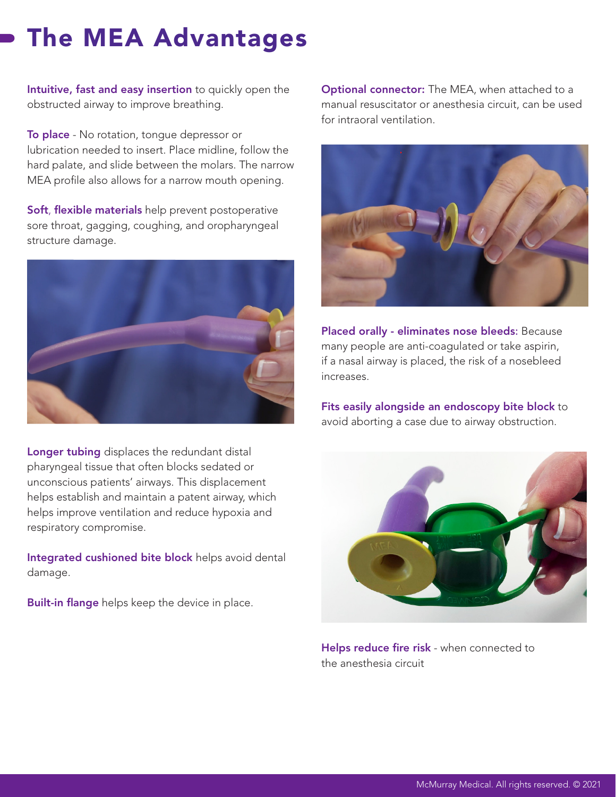# The MEA Advantages

Intuitive, fast and easy insertion to quickly open the obstructed airway to improve breathing.

To place - No rotation, tongue depressor or lubrication needed to insert. Place midline, follow the hard palate, and slide between the molars. The narrow MEA profile also allows for a narrow mouth opening.

Soft, flexible materials help prevent postoperative sore throat, gagging, coughing, and oropharyngeal structure damage.



Longer tubing displaces the redundant distal pharyngeal tissue that often blocks sedated or unconscious patients' airways. This displacement helps establish and maintain a patent airway, which helps improve ventilation and reduce hypoxia and respiratory compromise.

Integrated cushioned bite block helps avoid dental damage.

Built-in flange helps keep the device in place.

**Optional connector:** The MEA, when attached to a manual resuscitator or anesthesia circuit, can be used for intraoral ventilation.



Placed orally - eliminates nose bleeds: Because many people are anti-coagulated or take aspirin, if a nasal airway is placed, the risk of a nosebleed increases.

Fits easily alongside an endoscopy bite block to avoid aborting a case due to airway obstruction.



Helps reduce fire risk - when connected to the anesthesia circuit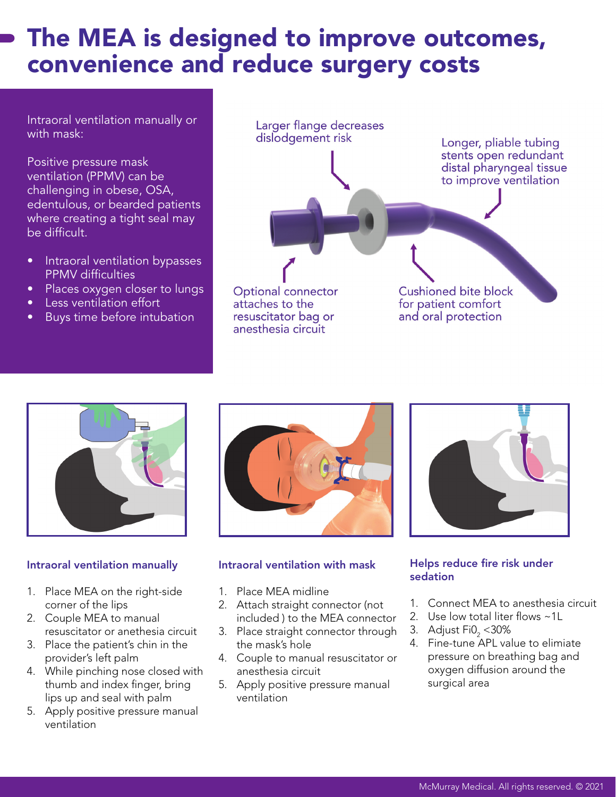### The MEA is designed to improve outcomes, convenience and reduce surgery costs

Intraoral ventilation manually or with mask:

Positive pressure mask ventilation (PPMV) can be challenging in obese, OSA, edentulous, or bearded patients where creating a tight seal may be difficult.

- Intraoral ventilation bypasses PPMV difficulties
- Places oxygen closer to lungs
- **•** Less ventilation effort
- Buys time before intubation

Larger flange decreases dislodgement risk Longer, pliable tubing stents open redundant distal pharyngeal tissue to improve ventilation Optional connector Cushioned bite block for patient comfort attaches to the resuscitator bag or and oral protection anesthesia circuit



#### Intraoral ventilation manually

- 1. Place MEA on the right-side corner of the lips
- 2. Couple MEA to manual resuscitator or anethesia circuit
- 3. Place the patient's chin in the provider's left palm
- 4. While pinching nose closed with thumb and index finger, bring lips up and seal with palm
- 5. Apply positive pressure manual ventilation



#### Intraoral ventilation with mask

- 1. Place MEA midline
- 2. Attach straight connector (not included ) to the MEA connector
- 3. Place straight connector through the mask's hole
- 4. Couple to manual resuscitator or anesthesia circuit
- 5. Apply positive pressure manual ventilation



#### Helps reduce fire risk under sedation

- 1. Connect MEA to anesthesia circuit
- 2. Use low total liter flows ~1L
- 3. Adjust Fi $0\llap/_{2}$  < 30%
- 4. Fine-tune APL value to elimiate pressure on breathing bag and oxygen diffusion around the surgical area